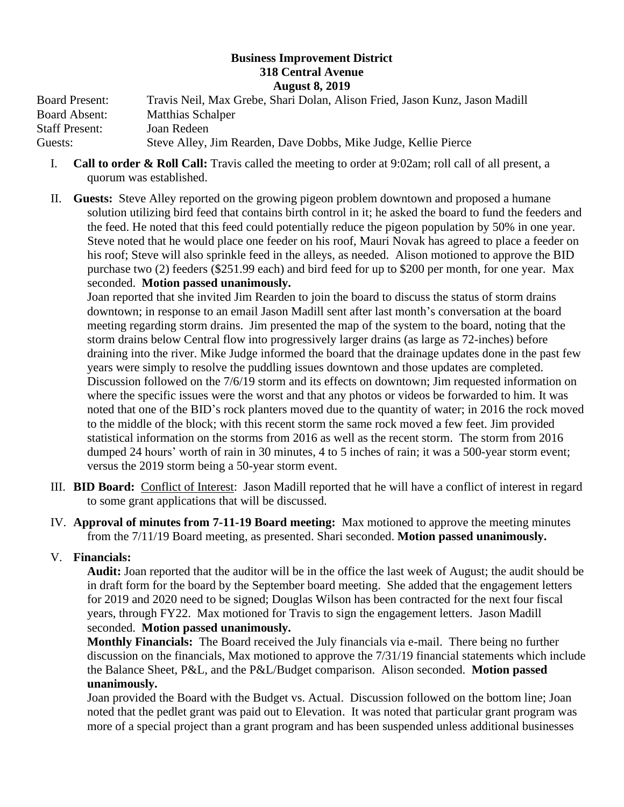## **Business Improvement District 318 Central Avenue August 8, 2019**

Board Present: Travis Neil, Max Grebe, Shari Dolan, Alison Fried, Jason Kunz, Jason Madill Board Absent: Matthias Schalper Staff Present: Joan Redeen Guests: Steve Alley, Jim Rearden, Dave Dobbs, Mike Judge, Kellie Pierce

- I. **Call to order & Roll Call:** Travis called the meeting to order at 9:02am; roll call of all present, a quorum was established.
- II. **Guests:** Steve Alley reported on the growing pigeon problem downtown and proposed a humane solution utilizing bird feed that contains birth control in it; he asked the board to fund the feeders and the feed. He noted that this feed could potentially reduce the pigeon population by 50% in one year. Steve noted that he would place one feeder on his roof, Mauri Novak has agreed to place a feeder on his roof; Steve will also sprinkle feed in the alleys, as needed. Alison motioned to approve the BID purchase two (2) feeders (\$251.99 each) and bird feed for up to \$200 per month, for one year. Max seconded. **Motion passed unanimously.**

Joan reported that she invited Jim Rearden to join the board to discuss the status of storm drains downtown; in response to an email Jason Madill sent after last month's conversation at the board meeting regarding storm drains. Jim presented the map of the system to the board, noting that the storm drains below Central flow into progressively larger drains (as large as 72-inches) before draining into the river. Mike Judge informed the board that the drainage updates done in the past few years were simply to resolve the puddling issues downtown and those updates are completed. Discussion followed on the 7/6/19 storm and its effects on downtown; Jim requested information on where the specific issues were the worst and that any photos or videos be forwarded to him. It was noted that one of the BID's rock planters moved due to the quantity of water; in 2016 the rock moved to the middle of the block; with this recent storm the same rock moved a few feet. Jim provided statistical information on the storms from 2016 as well as the recent storm. The storm from 2016 dumped 24 hours' worth of rain in 30 minutes, 4 to 5 inches of rain; it was a 500-year storm event; versus the 2019 storm being a 50-year storm event.

- III. **BID Board:** Conflict of Interest: Jason Madill reported that he will have a conflict of interest in regard to some grant applications that will be discussed.
- IV. **Approval of minutes from 7-11-19 Board meeting:** Max motioned to approve the meeting minutes from the 7/11/19 Board meeting, as presented. Shari seconded. **Motion passed unanimously.**

# V. **Financials:**

**Audit:** Joan reported that the auditor will be in the office the last week of August; the audit should be in draft form for the board by the September board meeting. She added that the engagement letters for 2019 and 2020 need to be signed; Douglas Wilson has been contracted for the next four fiscal years, through FY22. Max motioned for Travis to sign the engagement letters. Jason Madill seconded. **Motion passed unanimously.** 

**Monthly Financials:** The Board received the July financials via e-mail. There being no further discussion on the financials, Max motioned to approve the 7/31/19 financial statements which include the Balance Sheet, P&L, and the P&L/Budget comparison. Alison seconded. **Motion passed unanimously.**

Joan provided the Board with the Budget vs. Actual. Discussion followed on the bottom line; Joan noted that the pedlet grant was paid out to Elevation. It was noted that particular grant program was more of a special project than a grant program and has been suspended unless additional businesses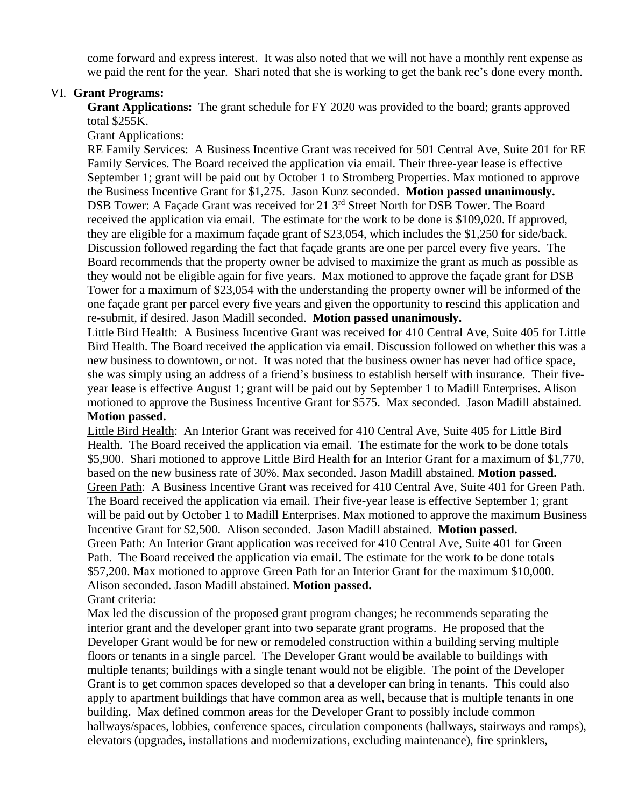come forward and express interest. It was also noted that we will not have a monthly rent expense as we paid the rent for the year. Shari noted that she is working to get the bank rec's done every month.

### VI. **Grant Programs:**

**Grant Applications:** The grant schedule for FY 2020 was provided to the board; grants approved total \$255K.

Grant Applications:

RE Family Services: A Business Incentive Grant was received for 501 Central Ave, Suite 201 for RE Family Services. The Board received the application via email. Their three-year lease is effective September 1; grant will be paid out by October 1 to Stromberg Properties. Max motioned to approve the Business Incentive Grant for \$1,275. Jason Kunz seconded. **Motion passed unanimously.**  DSB Tower: A Façade Grant was received for 21 3<sup>rd</sup> Street North for DSB Tower. The Board received the application via email. The estimate for the work to be done is \$109,020. If approved, they are eligible for a maximum façade grant of \$23,054, which includes the \$1,250 for side/back. Discussion followed regarding the fact that façade grants are one per parcel every five years. The Board recommends that the property owner be advised to maximize the grant as much as possible as they would not be eligible again for five years. Max motioned to approve the façade grant for DSB Tower for a maximum of \$23,054 with the understanding the property owner will be informed of the one façade grant per parcel every five years and given the opportunity to rescind this application and re-submit, if desired. Jason Madill seconded. **Motion passed unanimously.** 

Little Bird Health: A Business Incentive Grant was received for 410 Central Ave, Suite 405 for Little Bird Health. The Board received the application via email. Discussion followed on whether this was a new business to downtown, or not. It was noted that the business owner has never had office space, she was simply using an address of a friend's business to establish herself with insurance. Their fiveyear lease is effective August 1; grant will be paid out by September 1 to Madill Enterprises. Alison motioned to approve the Business Incentive Grant for \$575. Max seconded. Jason Madill abstained. **Motion passed.** 

Little Bird Health: An Interior Grant was received for 410 Central Ave, Suite 405 for Little Bird Health. The Board received the application via email. The estimate for the work to be done totals \$5,900. Shari motioned to approve Little Bird Health for an Interior Grant for a maximum of \$1,770, based on the new business rate of 30%. Max seconded. Jason Madill abstained. **Motion passed.**  Green Path: A Business Incentive Grant was received for 410 Central Ave, Suite 401 for Green Path. The Board received the application via email. Their five-year lease is effective September 1; grant will be paid out by October 1 to Madill Enterprises. Max motioned to approve the maximum Business Incentive Grant for \$2,500. Alison seconded. Jason Madill abstained. **Motion passed.**  Green Path: An Interior Grant application was received for 410 Central Ave, Suite 401 for Green Path. The Board received the application via email. The estimate for the work to be done totals \$57,200. Max motioned to approve Green Path for an Interior Grant for the maximum \$10,000. Alison seconded. Jason Madill abstained. **Motion passed.** Grant criteria:

Max led the discussion of the proposed grant program changes; he recommends separating the interior grant and the developer grant into two separate grant programs. He proposed that the Developer Grant would be for new or remodeled construction within a building serving multiple floors or tenants in a single parcel. The Developer Grant would be available to buildings with multiple tenants; buildings with a single tenant would not be eligible. The point of the Developer Grant is to get common spaces developed so that a developer can bring in tenants. This could also apply to apartment buildings that have common area as well, because that is multiple tenants in one building. Max defined common areas for the Developer Grant to possibly include common hallways/spaces, lobbies, conference spaces, circulation components (hallways, stairways and ramps), elevators (upgrades, installations and modernizations, excluding maintenance), fire sprinklers,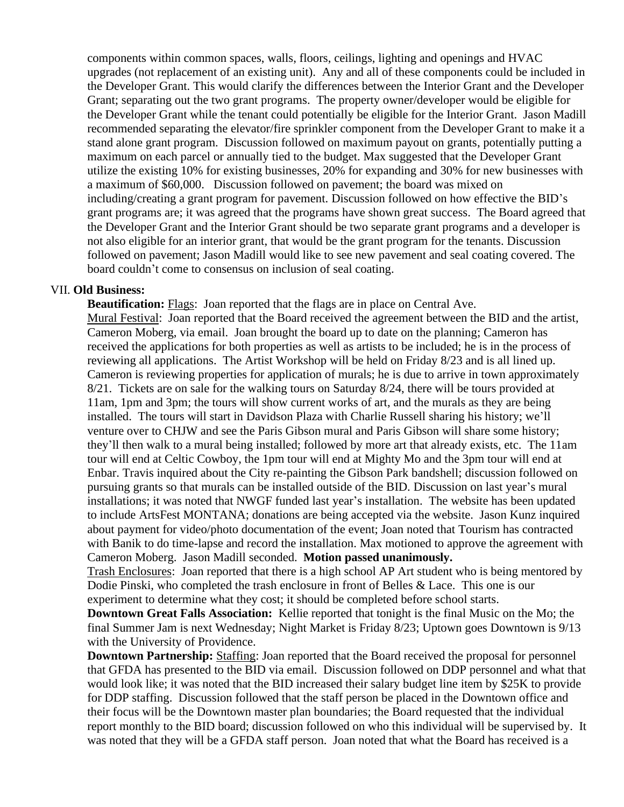components within common spaces, walls, floors, ceilings, lighting and openings and HVAC upgrades (not replacement of an existing unit). Any and all of these components could be included in the Developer Grant. This would clarify the differences between the Interior Grant and the Developer Grant; separating out the two grant programs. The property owner/developer would be eligible for the Developer Grant while the tenant could potentially be eligible for the Interior Grant. Jason Madill recommended separating the elevator/fire sprinkler component from the Developer Grant to make it a stand alone grant program. Discussion followed on maximum payout on grants, potentially putting a maximum on each parcel or annually tied to the budget. Max suggested that the Developer Grant utilize the existing 10% for existing businesses, 20% for expanding and 30% for new businesses with a maximum of \$60,000. Discussion followed on pavement; the board was mixed on including/creating a grant program for pavement. Discussion followed on how effective the BID's grant programs are; it was agreed that the programs have shown great success. The Board agreed that the Developer Grant and the Interior Grant should be two separate grant programs and a developer is not also eligible for an interior grant, that would be the grant program for the tenants. Discussion followed on pavement; Jason Madill would like to see new pavement and seal coating covered. The board couldn't come to consensus on inclusion of seal coating.

#### VII. **Old Business:**

**Beautification:** Flags: Joan reported that the flags are in place on Central Ave.

Mural Festival: Joan reported that the Board received the agreement between the BID and the artist, Cameron Moberg, via email. Joan brought the board up to date on the planning; Cameron has received the applications for both properties as well as artists to be included; he is in the process of reviewing all applications. The Artist Workshop will be held on Friday 8/23 and is all lined up. Cameron is reviewing properties for application of murals; he is due to arrive in town approximately 8/21. Tickets are on sale for the walking tours on Saturday 8/24, there will be tours provided at 11am, 1pm and 3pm; the tours will show current works of art, and the murals as they are being installed. The tours will start in Davidson Plaza with Charlie Russell sharing his history; we'll venture over to CHJW and see the Paris Gibson mural and Paris Gibson will share some history; they'll then walk to a mural being installed; followed by more art that already exists, etc. The 11am tour will end at Celtic Cowboy, the 1pm tour will end at Mighty Mo and the 3pm tour will end at Enbar. Travis inquired about the City re-painting the Gibson Park bandshell; discussion followed on pursuing grants so that murals can be installed outside of the BID. Discussion on last year's mural installations; it was noted that NWGF funded last year's installation. The website has been updated to include ArtsFest MONTANA; donations are being accepted via the website. Jason Kunz inquired about payment for video/photo documentation of the event; Joan noted that Tourism has contracted with Banik to do time-lapse and record the installation. Max motioned to approve the agreement with Cameron Moberg. Jason Madill seconded. **Motion passed unanimously.** 

Trash Enclosures: Joan reported that there is a high school AP Art student who is being mentored by Dodie Pinski, who completed the trash enclosure in front of Belles & Lace. This one is our experiment to determine what they cost; it should be completed before school starts.

**Downtown Great Falls Association:** Kellie reported that tonight is the final Music on the Mo; the final Summer Jam is next Wednesday; Night Market is Friday 8/23; Uptown goes Downtown is 9/13 with the University of Providence.

**Downtown Partnership:** Staffing: Joan reported that the Board received the proposal for personnel that GFDA has presented to the BID via email. Discussion followed on DDP personnel and what that would look like; it was noted that the BID increased their salary budget line item by \$25K to provide for DDP staffing. Discussion followed that the staff person be placed in the Downtown office and their focus will be the Downtown master plan boundaries; the Board requested that the individual report monthly to the BID board; discussion followed on who this individual will be supervised by. It was noted that they will be a GFDA staff person. Joan noted that what the Board has received is a